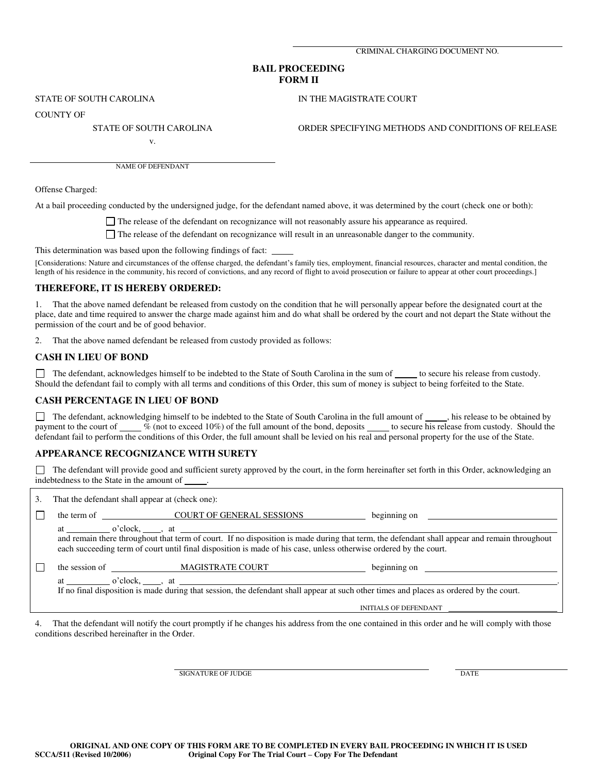CRIMINAL CHARGING DOCUMENT NO.

#### **BAIL PROCEEDING FORM II**

STATE OF SOUTH CAROLINA IN THE MAGISTRATE COURT

COUNTY OF

STATE OF SOUTH CAROLINA ORDER SPECIFYING METHODS AND CONDITIONS OF RELEASE

v.

NAME OF DEFENDANT

Offense Charged:

At a bail proceeding conducted by the undersigned judge, for the defendant named above, it was determined by the court (check one or both):

The release of the defendant on recognizance will not reasonably assure his appearance as required.

The release of the defendant on recognizance will result in an unreasonable danger to the community.

This determination was based upon the following findings of fact:

[Considerations: Nature and circumstances of the offense charged, the defendant's family ties, employment, financial resources, character and mental condition, the length of his residence in the community, his record of convictions, and any record of flight to avoid prosecution or failure to appear at other court proceedings.]

#### **THEREFORE, IT IS HEREBY ORDERED:**

1. That the above named defendant be released from custody on the condition that he will personally appear before the designated court at the place, date and time required to answer the charge made against him and do what shall be ordered by the court and not depart the State without the permission of the court and be of good behavior.

2. That the above named defendant be released from custody provided as follows:

# **CASH IN LIEU OF BOND**

The defendant, acknowledges himself to be indebted to the State of South Carolina in the sum of to secure his release from custody. Should the defendant fail to comply with all terms and conditions of this Order, this sum of money is subject to being forfeited to the State.

# **CASH PERCENTAGE IN LIEU OF BOND**

The defendant, acknowledging himself to be indebted to the State of South Carolina in the full amount of  $\Box$ , his release to be obtained by payment to the court of \_\_\_\_% (not to exceed 10%) of the full amount of the bond, deposits \_\_\_\_\_ to secure his release from custody. Should the defendant fail to perform the conditions of this Order, the full amount shall be levied on his real and personal property for the use of the State.

# **APPEARANCE RECOGNIZANCE WITH SURETY**

 The defendant will provide good and sufficient surety approved by the court, in the form hereinafter set forth in this Order, acknowledging an indebtedness to the State in the amount of .

| 3. | That the defendant shall appear at (check one):                                                                                                                                                                                                                                                   |                                       |                                                                                                                                                                                                                                      |  |
|----|---------------------------------------------------------------------------------------------------------------------------------------------------------------------------------------------------------------------------------------------------------------------------------------------------|---------------------------------------|--------------------------------------------------------------------------------------------------------------------------------------------------------------------------------------------------------------------------------------|--|
|    |                                                                                                                                                                                                                                                                                                   | the term of COURT OF GENERAL SESSIONS | beginning on <u>example and the set of the set of the set of the set of the set of the set of the set of the set of the set of the set of the set of the set of the set of the set of the set of the set of the set of the set o</u> |  |
|    | at $o'clock,$ at $a$ $b'abc$<br>and remain there throughout that term of court. If no disposition is made during that term, the defendant shall appear and remain throughout<br>each succeeding term of court until final disposition is made of his case, unless otherwise ordered by the court. |                                       |                                                                                                                                                                                                                                      |  |
|    |                                                                                                                                                                                                                                                                                                   |                                       |                                                                                                                                                                                                                                      |  |
|    |                                                                                                                                                                                                                                                                                                   |                                       |                                                                                                                                                                                                                                      |  |
|    | If no final disposition is made during that session, the defendant shall appear at such other times and places as ordered by the court.                                                                                                                                                           |                                       |                                                                                                                                                                                                                                      |  |
|    |                                                                                                                                                                                                                                                                                                   |                                       | INITIALS OF DEFENDANT                                                                                                                                                                                                                |  |
|    |                                                                                                                                                                                                                                                                                                   |                                       | That the defendent will notify the court numerity if he changes his address from the ang contained in this ander and he will comply with those                                                                                       |  |

4. That the defendant will notify the court promptly if he changes his address from the one contained in this order and he will comply with those conditions described hereinafter in the Order.

SIGNATURE OF JUDGE

**DATE**